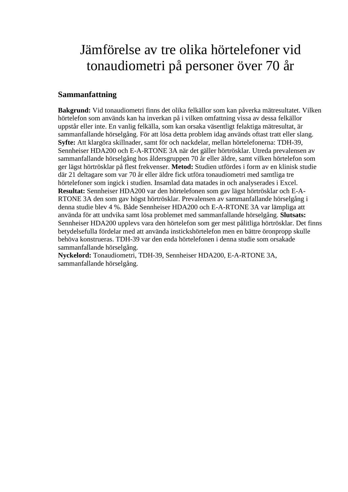## Jämförelse av tre olika hörtelefoner vid tonaudiometri på personer över 70 år

## **Sammanfattning**

**Bakgrund:** Vid tonaudiometri finns det olika felkällor som kan påverka mätresultatet. Vilken hörtelefon som används kan ha inverkan på i vilken omfattning vissa av dessa felkällor uppstår eller inte. En vanlig felkälla, som kan orsaka väsentligt felaktiga mätresultat, är sammanfallande hörselgång. För att lösa detta problem idag används oftast tratt eller slang. **Syfte:** Att klargöra skillnader, samt för och nackdelar, mellan hörtelefonerna: TDH-39, Sennheiser HDA200 och E-A-RTONE 3A när det gäller hörtrösklar. Utreda prevalensen av sammanfallande hörselgång hos åldersgruppen 70 år eller äldre, samt vilken hörtelefon som ger lägst hörtrösklar på flest frekvenser. **Metod:** Studien utfördes i form av en klinisk studie där 21 deltagare som var 70 år eller äldre fick utföra tonaudiometri med samtliga tre hörtelefoner som ingick i studien. Insamlad data matades in och analyserades i Excel. **Resultat:** Sennheiser HDA200 var den hörtelefonen som gav lägst hörtrösklar och E-A-RTONE 3A den som gav högst hörtrösklar. Prevalensen av sammanfallande hörselgång i denna studie blev 4 %. Både Sennheiser HDA200 och E-A-RTONE 3A var lämpliga att använda för att undvika samt lösa problemet med sammanfallande hörselgång. **Slutsats:** Sennheiser HDA200 upplevs vara den hörtelefon som ger mest pålitliga hörtrösklar. Det finns betydelsefulla fördelar med att använda instickshörtelefon men en bättre öronpropp skulle behöva konstrueras. TDH-39 var den enda hörtelefonen i denna studie som orsakade sammanfallande hörselgång.

**Nyckelord:** Tonaudiometri, TDH-39, Sennheiser HDA200, E-A-RTONE 3A, sammanfallande hörselgång.